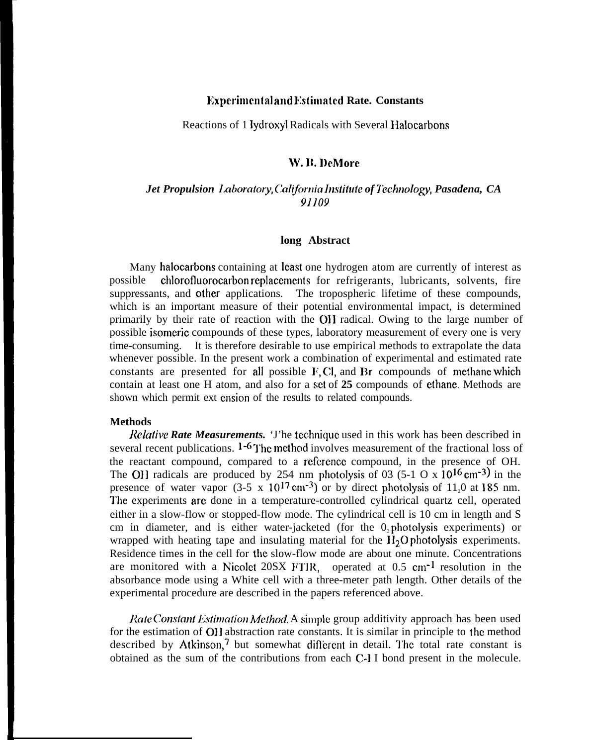# **Experimental and Estimated Rate. Constants**

Reactions of 1 lydroxyl Radicals with Several IIalocarbons

# W. B. DeMore

# *Jet Propulsion Laboratory, California Institute of Technology, Pasadena, CA 91109*

### **long Abstract**

Many halocarbons containing at least one hydrogen atom are currently of interest as possible chlorofluorocarbon replacements for refrigerants, lubricants, solvents, fire suppressants, and other applications. The tropospheric lifetime of these compounds, which is an important measure of their potential environmental impact, is determined primarily by their rate of reaction with the 011 radical. Owing to the large number of possible isomeric compounds of these types, laboratory measurement of every one is very time-consuming. It is therefore desirable to use empirical methods to extrapolate the data whenever possible. In the present work a combination of experimental and estimated rate constants are presented for all possible  $F, Cl$ , and  $Br$  compounds of methane which contain at least one H atom, and also for a set of **25** compounds of ethane. Methods are shown which permit ext cnsion of the results to related compounds.

#### **Methods**

*Relative Rate Measurements.* 'J'he tcchniquc used in this work has been described in several recent publications.  $1 - 6$  The method involves measurement of the fractional loss of the reactant compound, compared to a refcrencc compound, in the presence of OH. The OH radicals are produced by 254 nm photolysis of 03 (5-1 O x  $10^{16}$  cm<sup>-3)</sup> in the presence of water vapor  $(3-5 \times 10^{17} \text{ cm}^{-3})$  or by direct photolysis of 11,0 at 185 nm. I'he experiments are done in a temperature-controlled cylindrical quartz cell, operated either in a slow-flow or stopped-flow mode. The cylindrical cell is 10 cm in length and S cm in diameter, and is either water-jacketed (for the  $0<sub>3</sub>$  photolysis experiments) or wrapped with heating tape and insulating material for the  $H_2O$  photolysis experiments. Residence times in the cell for the slow-flow mode are about one minute. Concentrations are monitored with a Nicolet 20SX FTIR, operated at  $0.5 \text{ cm}^{-1}$  resolution in the absorbance mode using a White cell with a three-meter path length. Other details of the experimental procedure are described in the papers referenced above.

*Rate Constant Estimation Method.* A simple group additivity approach has been used for the estimation of 011 abstraction rate constants. It is similar in principle to lhc method described by Atkinson, $\frac{7}{1}$  but somewhat different in detail. The total rate constant is obtained as the sum of the contributions from each C-1 I bond present in the molecule.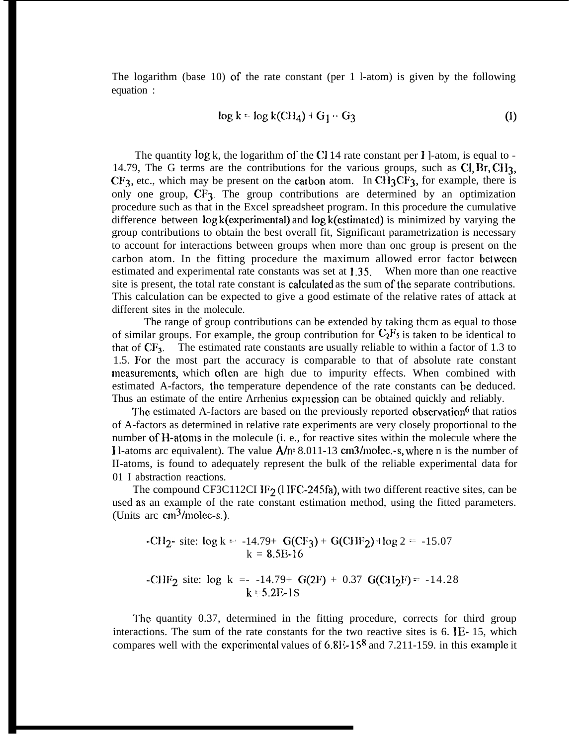The logarithm (base 10) of the rate constant (per 1 l-atom) is given by the following equation :

$$
\log k = \log k(\text{CH}_4) + G_1 \cdot G_3 \tag{I}
$$

The quantity  $log k$ , the logarithm of the CI 14 rate constant per I ]-atom, is equal to -14.79, The G terms are the contributions for the various groups, such as  $Cl, Br, CH<sub>3</sub>$ ,  $CF<sub>3</sub>$ , etc., which may be present on the catbon atom. In CH<sub>3</sub>CF<sub>3</sub>, for example, there is only one group,  $CF_3$ . The group contributions are determined by an optimization procedure such as that in the Excel spreadsheet program. In this procedure the cumulative difference between log k(experimental) and log k(cstimated) is minimized by varying the group contributions to obtain the best overall fit, Significant parametrization is necessary to account for interactions between groups when more than onc group is present on the carbon atom. In the fitting procedure the maximum allowed error factor between estimated and experimental rate constants was set at 1.3s. When more than one reactive site is present, the total rate constant is calculated as the sum of the separate contributions. This calculation can be expected to give a good estimate of the relative rates of attack at different sites in the molecule.

The range of group contributions can be extended by taking thcm as equal to those of similar groups. For example, the group contribution for  $C_2F_5$  is taken to be identical to that of  $CF_3$ . The estimated rate constants are usually reliable to within a factor of 1.3 to 1.5. IFor the most part the accuracy is comparable to that of absolute rate constant mcasurcmcnts, which oflcn are high due to impurity effects. When combined with estimated A-factors, the temperature dependence of the rate constants can be deduced. Thus an estimate of the entire Arrhenius expression can be obtained quickly and reliably.

The estimated A-factors are based on the previously reported observation<sup>6</sup> that ratios of A-factors as determined in relative rate experiments are very closely proportional to the number of  $H$ -atoms in the molecule (i. e., for reactive sites within the molecule where the 1 l-atoms arc equivalent). The value  $\Delta/n$ = 8.011-13 cm3/molec.-s, where n is the number of II-atoms, is found to adequately represent the bulk of the reliable experimental data for 01 I abstraction reactions.

The compound CF3C112CI IF<sub>2</sub> (1IFC-245fa), with two different reactive sites, can be used as an example of the rate constant estimation method, using the fitted parameters. (Units arc  $\text{cm}^3/\text{molec-s}$ .).

-CH<sub>2</sub>- site: 
$$
\log k = -14.79 + G(CF_3) + G(CHF_2) + \log 2 = -15.07
$$
  
\n $k = 8.5E-16$   
\n-CHF<sub>2</sub> site:  $\log k = -14.79 + G(2F) + 0.37 G(Cl_2F) = -14.28$   
\n $k = 5.2E-1S$ 

The quantity 0.37, determined in the fitting procedure, corrects for third group interactions. The sum of the rate constants for the two reactive sites is 6. lE- 15, which compares well with the experimental values of 6.8E-158 and 7.211-159. in this example it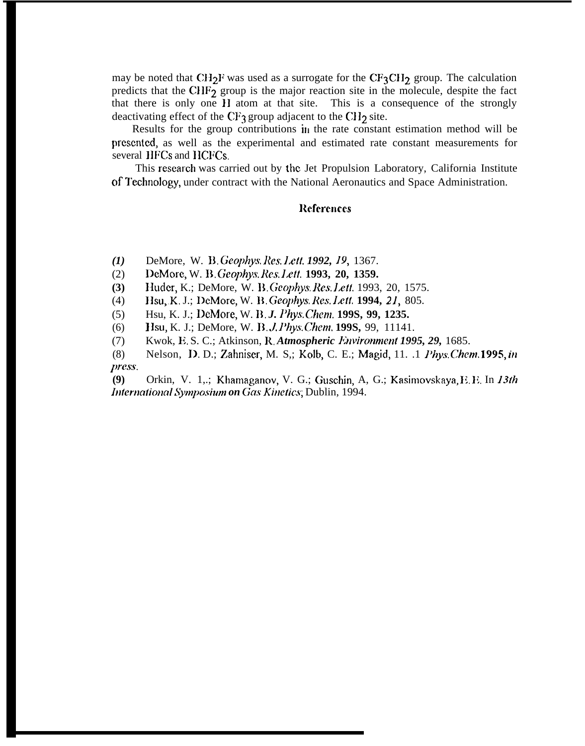may be noted that CH<sub>2</sub>F was used as a surrogate for the CF<sub>3</sub>CH<sub>2</sub> group. The calculation predicts that the CHF $_2$  group is the major reaction site in the molecule, despite the fact that there is only one 11 atom at that site. This is a consequence of the strongly deactivating effect of the CF<sub>3</sub> group adjacent to the CH<sub>2</sub> site.

Results for the group contributions in the rate constant estimation method will be prcscntcd, as well as the experimental and estimated rate constant measurements for several IIFCs and HCFCs.

This research was carried out by the Jet Propulsion Laboratory, California Institute of I"echnology, under contract with the National Aeronautics and Space Administration.

## **References**

- *(1)* DeMore, W. D. *Ckophys. Res. l.ctt. 1992,* 19, 1367.
- (2) DeMore, W. B. *Geophys. Rcs. I.ctt,* **1993, 20, 1359.**
- **(3)** Huder, K.; DeMore, W. B. Geophys. Res. Lett. 1993, 20, 1575.
- (4) IIsu, K. J.; DeMore, W. B. Geophys. Res. Lett. 1994, 21, 805.
- (5) Hsu, K. J.; DeMore, W. B. *J. Phys. Chem.* **199S, 99, 1235.**
- (6) **1 Isu, K. J.; DeMore, W. B.** *J. Phys. Chem.* **199S, 99, 11141.**
- (7) Kwok, E. S. C.; Atkinson, R, *Atmospheric Jhvironmcnt 1995, 29,* 1685.
- (8) Nelson, D. D.; Zahniscr, M. S,; Kolb, C. E.; Magid, 11. .1 ]'hys. *Chcm.* **1995,** *in press.*

**(9)** Orkin, V. 1,.; Khamaganov, V. G.; Guschin, A, G.; Kasimovskaya, E. E. In 13th *International Symposium on Gas Kinetics; Dublin, 1994.*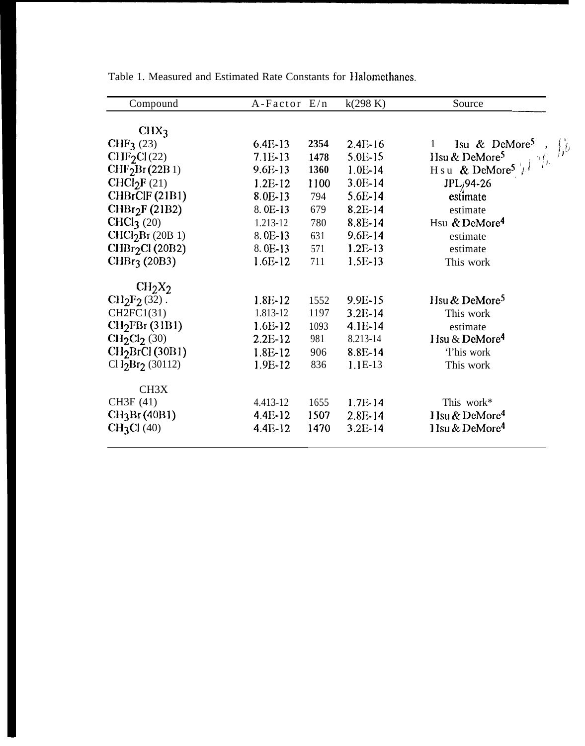| Compound                       | A-Factor E/n |      | k(298 K)  | Source                                                          |
|--------------------------------|--------------|------|-----------|-----------------------------------------------------------------|
|                                |              |      |           |                                                                 |
| CIIX <sub>3</sub>              |              |      |           |                                                                 |
| CHF <sub>3</sub> (23)          | $6.4E-13$    | 2354 | $2.4E-16$ | Isu & DeMore <sup>5</sup><br>1<br>$\int_{\mathbb{R}^2} f \cdot$ |
| CHF <sub>2</sub> Cl(22)        | 7.1E-13      | 1478 | $5.0E-15$ | Hsu & DeMore <sup>5</sup><br>$\left\vert 1, \right\rangle$      |
| CHF <sub>2</sub> Br(22B1)      | $9.6E-13$    | 1360 | 1.0E-14   | H s u & DeMore <sup>5</sup> $\frac{1}{2}$                       |
| CHCl <sub>2</sub> F(21)        | $1.2E-12$    | 1100 | $3.0E-14$ | JPL <sub>j</sub> 94-26                                          |
| CHBrClF (21B1)                 | 8.0E-13      | 794  | $5.6E-14$ | estimate                                                        |
| CHBr <sub>2</sub> F (21B2)     | 8.0E-13      | 679  | $8.2E-14$ | estimate                                                        |
| CHCl $3(20)$                   | 1.213-12     | 780  | 8.8E-14   | Hsu & DeMore <sup>4</sup>                                       |
| CHCl <sub>2</sub> Br (20B 1)   | 8.0E-13      | 631  | $9.6E-14$ | estimate                                                        |
| CHBr <sub>2</sub> Cl (20B2)    | 8.0E-13      | 571  | $1.2E-13$ | estimate                                                        |
| CHBr <sub>3</sub> (20B3)       | $1.6E-12$    | 711  | $1.5E-13$ | This work                                                       |
| CH <sub>2</sub> X <sub>2</sub> |              |      |           |                                                                 |
| $CI12F2(32)$ .                 | 1.8E-12      | 1552 | 9.9E-15   | Hsu & DeMore <sup>5</sup>                                       |
| CH2FC1(31)                     | 1.813-12     | 1197 | 3.2E-14   | This work                                                       |
| CH <sub>2</sub> FBr(31B1)      | $1.6E-12$    | 1093 | $4.1E-14$ | estimate                                                        |
| $CH2Cl2$ (30)                  | $2.2E-12$    | 981  | 8.213-14  | Hsu & DeMore <sup>4</sup>                                       |
| CH <sub>2</sub> BrCl (30B1)    | $1.8E-12$    | 906  | 8.8E-14   | 'l'his work                                                     |
| $Cl$ $I_2Br_2$ (30112)         | 1.9E-12      | 836  | $1.1E-13$ | This work                                                       |
| CH <sub>3</sub> X              |              |      |           |                                                                 |
| CH3F (41)                      | 4.413-12     | 1655 | $1.7E-14$ | This work*                                                      |
| CH <sub>3</sub> Br (40B1)      | $4.4E-12$    | 1507 | $2.8E-14$ | Hsu & DeMore <sup>4</sup>                                       |
| CH <sub>3</sub> Cl (40)        | 4.4E-12      | 1470 | $3.2E-14$ | H <sub>su</sub> & DeMore <sup>4</sup>                           |

Table 1. Measured and Estimated Rate Constants for Halomethanes.